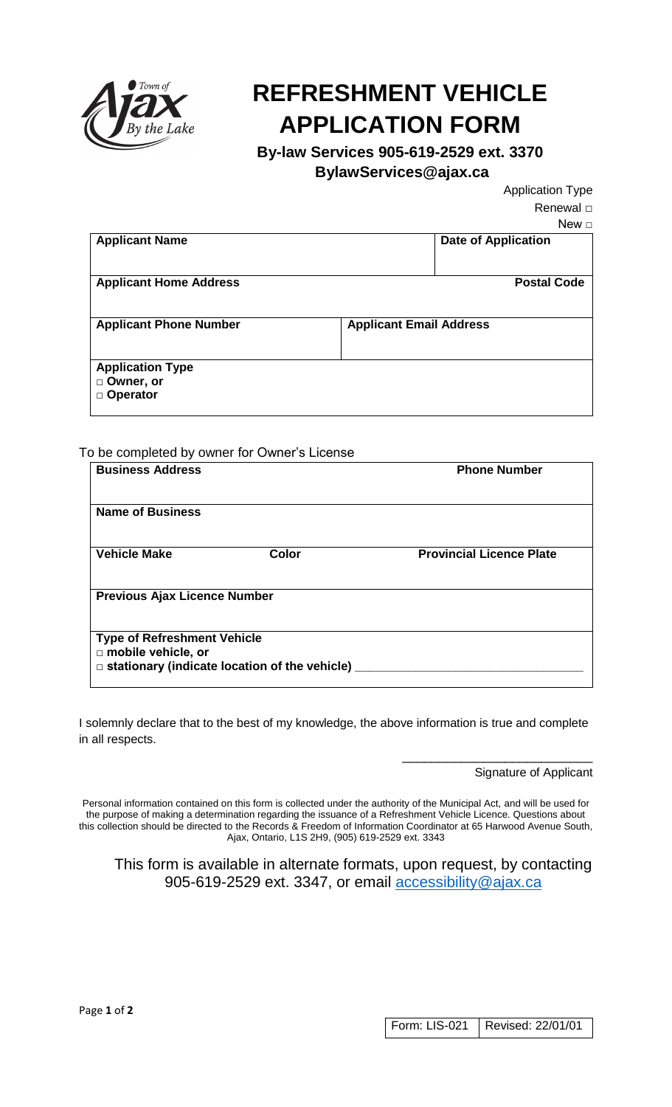

## **REFRESHMENT VEHICLE APPLICATION FORM**

**By-law Services 905-619-2529 ext. 3370**

 **BylawServices@ajax.ca**

Application Type Renewal □

| New $\square$                  |
|--------------------------------|
| <b>Date of Application</b>     |
| <b>Postal Code</b>             |
| <b>Applicant Email Address</b> |
|                                |
|                                |

## To be completed by owner for Owner's License

| <b>Business Address</b>             |                                                      | <b>Phone Number</b>             |  |  |
|-------------------------------------|------------------------------------------------------|---------------------------------|--|--|
| <b>Name of Business</b>             |                                                      |                                 |  |  |
| <b>Vehicle Make</b>                 | Color                                                | <b>Provincial Licence Plate</b> |  |  |
| <b>Previous Ajax Licence Number</b> |                                                      |                                 |  |  |
| <b>Type of Refreshment Vehicle</b>  |                                                      |                                 |  |  |
| mobile vehicle, or                  | $\Box$ stationary (indicate location of the vehicle) |                                 |  |  |

I solemnly declare that to the best of my knowledge, the above information is true and complete in all respects.

Signature of Applicant

\_\_\_\_\_\_\_\_\_\_\_\_\_\_\_\_\_\_\_\_\_\_\_\_\_\_

Personal information contained on this form is collected under the authority of the Municipal Act, and will be used for the purpose of making a determination regarding the issuance of a Refreshment Vehicle Licence. Questions about this collection should be directed to the Records & Freedom of Information Coordinator at 65 Harwood Avenue South, Ajax, Ontario, L1S 2H9, (905) 619-2529 ext. 3343

This form is available in alternate formats, upon request, by contacting 905-619-2529 ext. 3347, or email [accessibility@ajax.ca](mailto:accessibility@ajax.ca)